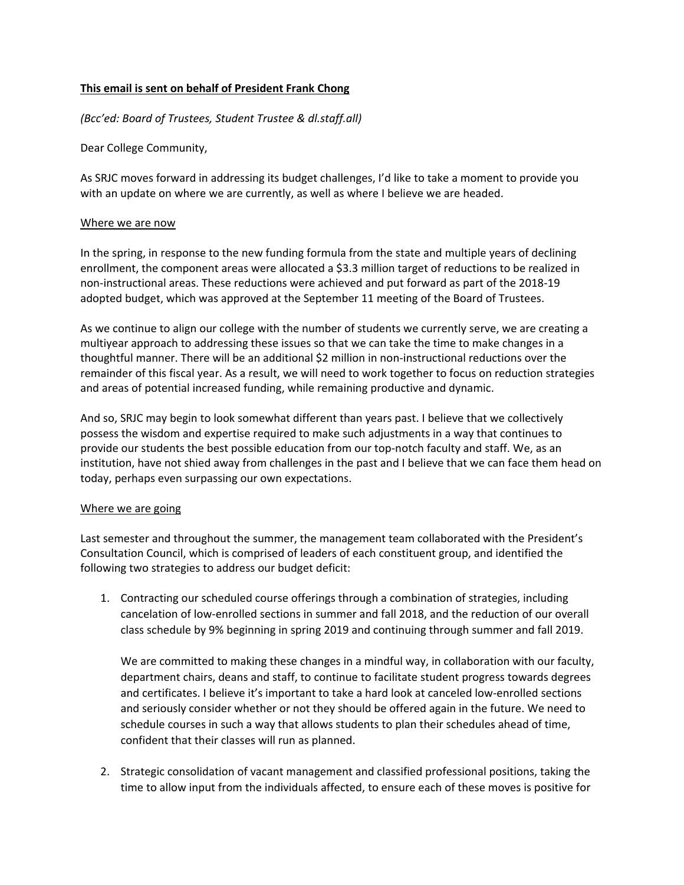## **This email is sent on behalf of President Frank Chong**

## *(Bcc'ed: Board of Trustees, Student Trustee & dl.staff.all)*

Dear College Community,

As SRJC moves forward in addressing its budget challenges, I'd like to take a moment to provide you with an update on where we are currently, as well as where I believe we are headed.

## Where we are now

In the spring, in response to the new funding formula from the state and multiple years of declining enrollment, the component areas were allocated a \$3.3 million target of reductions to be realized in non‐instructional areas. These reductions were achieved and put forward as part of the 2018‐19 adopted budget, which was approved at the September 11 meeting of the Board of Trustees.

As we continue to align our college with the number of students we currently serve, we are creating a multiyear approach to addressing these issues so that we can take the time to make changes in a thoughtful manner. There will be an additional \$2 million in non‐instructional reductions over the remainder of this fiscal year. As a result, we will need to work together to focus on reduction strategies and areas of potential increased funding, while remaining productive and dynamic.

And so, SRJC may begin to look somewhat different than years past. I believe that we collectively possess the wisdom and expertise required to make such adjustments in a way that continues to provide our students the best possible education from our top-notch faculty and staff. We, as an institution, have not shied away from challenges in the past and I believe that we can face them head on today, perhaps even surpassing our own expectations.

## Where we are going

Last semester and throughout the summer, the management team collaborated with the President's Consultation Council, which is comprised of leaders of each constituent group, and identified the following two strategies to address our budget deficit:

1. Contracting our scheduled course offerings through a combination of strategies, including cancelation of low-enrolled sections in summer and fall 2018, and the reduction of our overall class schedule by 9% beginning in spring 2019 and continuing through summer and fall 2019.

We are committed to making these changes in a mindful way, in collaboration with our faculty, department chairs, deans and staff, to continue to facilitate student progress towards degrees and certificates. I believe it's important to take a hard look at canceled low-enrolled sections and seriously consider whether or not they should be offered again in the future. We need to schedule courses in such a way that allows students to plan their schedules ahead of time, confident that their classes will run as planned.

2. Strategic consolidation of vacant management and classified professional positions, taking the time to allow input from the individuals affected, to ensure each of these moves is positive for